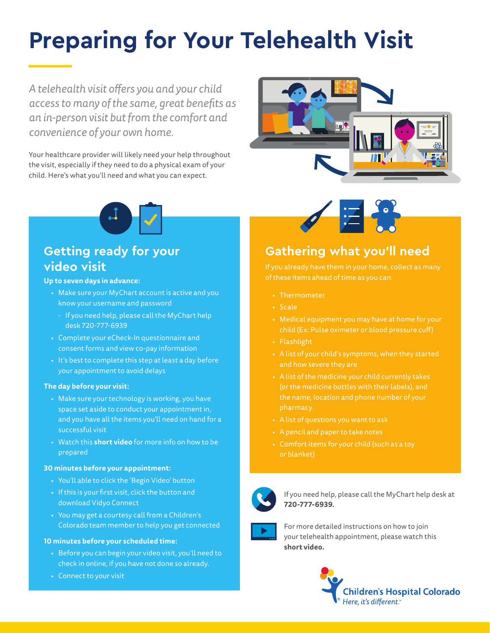# **Preparing for Your Telehealth Visit**

*A telehealth visit offers you and your child access to many of the same, great benefits as an in-person visit but from the comfort and convenience of your own home.* 

Your healthcare provider will likely need your help throughout the visit, especially if they need to do a physical exam of your child. Here's what you'll need and what you can expect.





## **Getting ready for your video visit**

**Up to seven days in advance:**

- Make sure your MyChart account is active and you know your username and password
- If you need help, please call the MyChart help desk 720-777-6939
- Complete your eCheck-In questionnaire and consent forms and view co-pay information
- It's best to complete this step at least a day before your appointment to avoid delays

#### **The day before your visit:**

- Make sure your technology is working, you have space set aside to conduct your appointment in, and you have all the items you'll need on hand for a successful visit
- Watch this **[short video](https://vimeo.com/415726571/9f0a2f187e)** for more info on how to be prepared

#### **30 minutes before your appointment:**

- You'll able to click the 'Begin Video' button
- If this is your first visit, click the button and download Vidyo Connect
- You may get a courtesy call from a Children's Colorado team member to help you get connected

#### **10 minutes before your scheduled time:**

- Before you can begin your video visit, you'll need to check in online, if you have not done so already.
- Connect to your visit



## **Gathering what you'll need**

- Thermometer
- Scale
- $\bullet~$  Medical equipment you may have at home for your  $\qquad$ child (Ex: Pulse oximeter or blood pressure cuff)
- 
- telehealth appointment, please watch this **[short video.](https://vimeo.com/415726571/9f0a2f187e)** A list of your child's symptoms, when they started
- A list of the medicine your child currently takes
- A list of questions you want to ask
- A pencil and paper to take notes
- or blanket)



If you need help, please call the MyChart help desk at **720-777-6939.**



For more detailed instructions on how to join your telehealth appointment, please watch this **[short video.](https://vimeo.com/415726571/9f0a2f187e)**